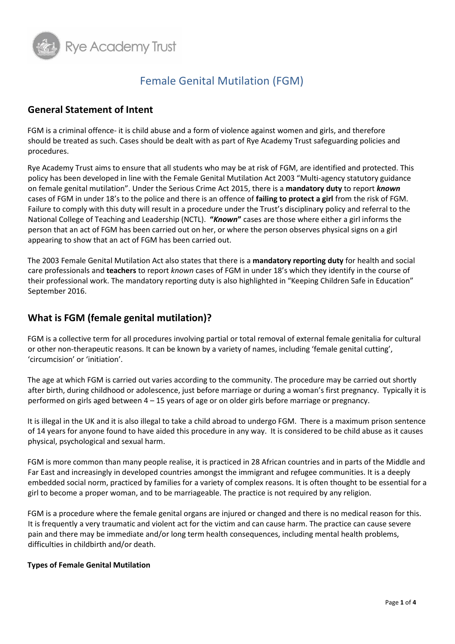

## Female Genital Mutilation (FGM)

### **General Statement of Intent**

FGM is a criminal offence- it is child abuse and a form of violence against women and girls, and therefore should be treated as such. Cases should be dealt with as part of Rye Academy Trust safeguarding policies and procedures.

Rye Academy Trust aims to ensure that all students who may be at risk of FGM, are identified and protected. This policy has been developed in line with the Female Genital Mutilation Act 2003 "Multi-agency statutory guidance on female genital mutilation". Under the Serious Crime Act 2015, there is a **mandatory duty** to report *known* cases of FGM in under 18's to the police and there is an offence of **failing to protect a girl** from the risk of FGM. Failure to comply with this duty will result in a procedure under the Trust's disciplinary policy and referral to the National College of Teaching and Leadership (NCTL). **"***Known***"** cases are those where either a girl informs the person that an act of FGM has been carried out on her, or where the person observes physical signs on a girl appearing to show that an act of FGM has been carried out.

The 2003 Female Genital Mutilation Act also states that there is a **mandatory reporting duty** for health and social care professionals and **teachers** to report *known* cases of FGM in under 18's which they identify in the course of their professional work. The mandatory reporting duty is also highlighted in "Keeping Children Safe in Education" September 2016.

## **What is FGM (female genital mutilation)?**

FGM is a collective term for all procedures involving partial or total removal of external female genitalia for cultural or other non-therapeutic reasons. It can be known by a variety of names, including 'female genital cutting', 'circumcision' or 'initiation'.

The age at which FGM is carried out varies according to the community. The procedure may be carried out shortly after birth, during childhood or adolescence, just before marriage or during a woman's first pregnancy. Typically it is performed on girls aged between 4 – 15 years of age or on older girls before marriage or pregnancy.

It is illegal in the UK and it is also illegal to take a child abroad to undergo FGM. There is a maximum prison sentence of 14 years for anyone found to have aided this procedure in any way. It is considered to be child abuse as it causes physical, psychological and sexual harm.

FGM is more common than many people realise, it is practiced in 28 African countries and in parts of the Middle and Far East and increasingly in developed countries amongst the immigrant and refugee communities. It is a deeply embedded social norm, practiced by families for a variety of complex reasons. It is often thought to be essential for a girl to become a proper woman, and to be marriageable. The practice is not required by any religion.

FGM is a procedure where the female genital organs are injured or changed and there is no medical reason for this. It is frequently a very traumatic and violent act for the victim and can cause harm. The practice can cause severe pain and there may be immediate and/or long term health consequences, including mental health problems, difficulties in childbirth and/or death.

#### **Types of Female Genital Mutilation**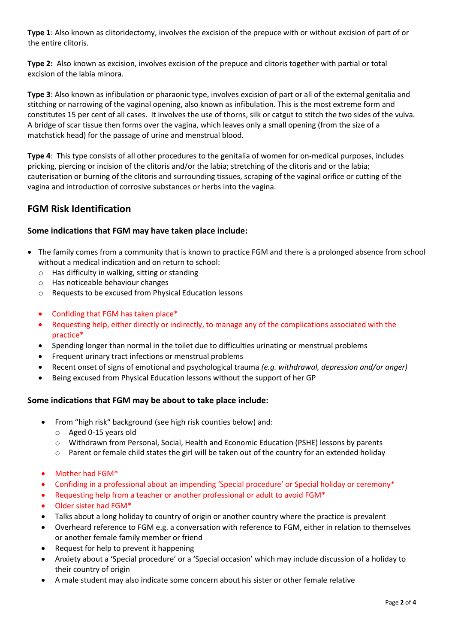**Type 1**: Also known as clitoridectomy, involves the excision of the prepuce with or without excision of part of or the entire clitoris.

**Type 2:** Also known as excision, involves excision of the prepuce and clitoris together with partial or total excision of the labia minora.

**Type 3**: Also known as infibulation or pharaonic type, involves excision of part or all of the external genitalia and stitching or narrowing of the vaginal opening, also known as infibulation. This is the most extreme form and constitutes 15 per cent of all cases. It involves the use of thorns, silk or catgut to stitch the two sides of the vulva. A bridge of scar tissue then forms over the vagina, which leaves only a small opening (from the size of a matchstick head) for the passage of urine and menstrual blood.

**Type 4**: This type consists of all other procedures to the genitalia of women for on-medical purposes, includes pricking, piercing or incision of the clitoris and/or the labia; stretching of the clitoris and or the labia; cauterisation or burning of the clitoris and surrounding tissues, scraping of the vaginal orifice or cutting of the vagina and introduction of corrosive substances or herbs into the vagina.

## **FGM Risk Identification**

#### **Some indications that FGM may have taken place include:**

- The family comes from a community that is known to practice FGM and there is a prolonged absence from school without a medical indication and on return to school:
	- o Has difficulty in walking, sitting or standing
	- o Has noticeable behaviour changes
	- o Requests to be excused from Physical Education lessons
	- Confiding that FGM has taken place\*
	- Requesting help, either directly or indirectly, to manage any of the complications associated with the practice\*
	- Spending longer than normal in the toilet due to difficulties urinating or menstrual problems
	- Frequent urinary tract infections or menstrual problems
	- Recent onset of signs of emotional and psychological trauma *(e.g. withdrawal, depression and/or anger)*
	- Being excused from Physical Education lessons without the support of her GP

#### **Some indications that FGM may be about to take place include:**

- From "high risk" background (see high risk counties below) and:
	- o Aged 0-15 years old
	- o Withdrawn from Personal, Social, Health and Economic Education (PSHE) lessons by parents
	- $\circ$  Parent or female child states the girl will be taken out of the country for an extended holiday
- Mother had FGM\*
- Confiding in a professional about an impending 'Special procedure' or Special holiday or ceremony\*
- Requesting help from a teacher or another professional or adult to avoid FGM\*
- Older sister had FGM\*
- Talks about a long holiday to country of origin or another country where the practice is prevalent
- Overheard reference to FGM e.g. a conversation with reference to FGM, either in relation to themselves or another female family member or friend
- Request for help to prevent it happening
- Anxiety about a 'Special procedure' or a 'Special occasion' which may include discussion of a holiday to their country of origin
- A male student may also indicate some concern about his sister or other female relative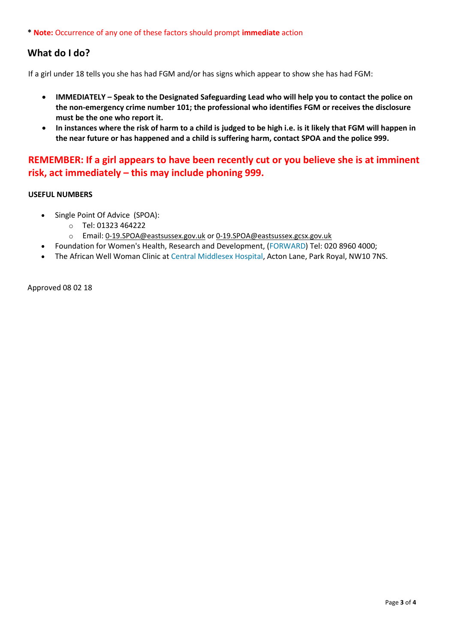**\* Note:** Occurrence of any one of these factors should prompt **immediate** action

## **What do I do?**

If a girl under 18 tells you she has had FGM and/or has signs which appear to show she has had FGM:

- **IMMEDIATELY – Speak to the Designated Safeguarding Lead who will help you to contact the police on the non-emergency crime number 101; the professional who identifies FGM or receives the disclosure must be the one who report it.**
- **In instances where the risk of harm to a child is judged to be high i.e. is it likely that FGM will happen in the near future or has happened and a child is suffering harm, contact SPOA and the police 999.**

## **REMEMBER: If a girl appears to have been recently cut or you believe she is at imminent risk, act immediately – this may include phoning 999.**

#### **USEFUL NUMBERS**

- Single Point Of Advice (SPOA):
	- o Tel: 01323 464222
	- o Email: [0-19.SPOA@eastsussex.gov.uk](http://0-19.SPOA@eastsussex.gov.uk/) or [0-19.SPOA@eastsussex.gcsx.gov.uk](mailto:0-19.SPOA@eastsussex.gcsx.gov.uk)
- Foundation for Women's Health, Research and Development, [\(FORWARD\)](http://www.forwarduk.org.uk/) Tel: 020 8960 4000;
- The African Well Woman Clinic at [Central Middlesex Hospital,](http://www.lnwh.nhs.uk/?id=69&type=A&parent=24) Acton Lane, Park Royal, NW10 7NS.

Approved 08 02 18